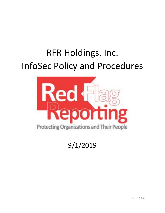# RFR Holdings, Inc. InfoSec Policy and Procedures



9/1/2019

 $1 | P \text{ a g e}$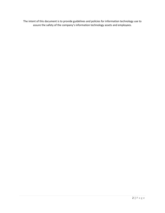The intent of this document is to provide guidelines and policies for information technology use to assure the safety of the company's information technology assets and employees.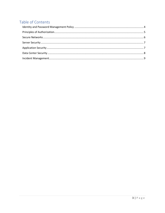# Table of Contents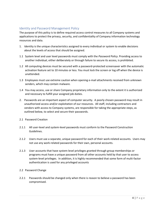# <span id="page-3-0"></span>Identity and Password Management Policy

The purpose of this policy is to define required access control measures to all Company systems and applications to protect the privacy, security, and confidentiality of Company information technology resources and data.

- 1. Identity is the unique characteristics assigned to every individual or system to enable decisions about the levels of access that should be assigned.
- 1.1 System level and user level passwords must comply with the *Password Policy*. Providing access to another individual, either deliberately or through failure to secure its access, is prohibited.
- 1.2 All computing devices must be secured with a password-protected screensaver with the automatic activation feature set to 10 minutes or less. You must lock the screen or log off when the device is unattended.
- 1.3 Employees must use extreme caution when opening e-mail attachments received from unknown senders, which may contain malware.
- 1.4 You may access, use or share Company proprietary information only to the extent it is authorized and necessary to fulfill your assigned job duties.
- 2. Passwords are an important aspect of computer security. A poorly chosen password may result in unauthorized access and/or exploitation of our resources. All staff, including contractors and vendors with access to Company systems, are responsible for taking the appropriate steps, as outlined below, to select and secure their passwords.
- 2.1 Password Creation
- 2.1.1 All user-level and system-level passwords must conform to the Password Construction Guidelines.
- 2.1.2 Users must use a separate, unique password for each of their work-related accounts. Users may not use any work-related passwords for their own, personal accounts.
- 2.1.3 User accounts that have system-level privileges granted through group memberships or programs must have a unique password from all other accounts held by that user to access system-level privileges. In addition, it is highly recommended that some form of multi-factor authentication is used for any privileged accounts

#### 2.2 Password Change

2.2.1 Passwords should be changed only when there is reason to believe a password has been compromised.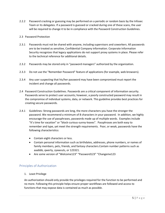2.2.2 Password cracking or guessing may be performed on a periodic or random basis by the Infosec Team or its delegates. If a password is guessed or cracked during one of these scans, the user will be required to change it to be in compliance with the Password Construction Guidelines.

#### 2.3 Password Protection

- 2.3.1 Passwords must not be shared with anyone, including supervisors and coworkers. All passwords are to be treated as sensitive, Confidential Company information. Corporate Information Security recognizes that legacy applications do not support proxy systems in place. Please refer to the technical reference for additional details.
- 2.3.2 Passwords may be stored only in "password managers" authorized by the organization.
- 2.3.3 Do not use the "Remember Password" feature of applications (for example, web browsers).
- 2.3.4 Any user suspecting that his/her password may have been compromised must report the incident and change all passwords.
- 2.4 Password Construction Guidelines. Passwords are a critical component of information security. Passwords serve to protect user accounts; however, a poorly constructed password may result in the compromise of individual systems, data, or network. This guideline provides best practices for creating secure passwords.
- 2.4.1 Guidelines: Strong passwords are long, the more characters you have the stronger the password. We recommend a minimum of 8 characters in your password. In addition, we highly encourage the use of passphrases, passwords made up of multiple words. Examples include "It's time for vacation" or "block-curious-sunny-leaves". Passphrases are both easy to remember and type, yet meet the strength requirements. Poor, or weak, passwords have the following characteristics:
	- Contain eight characters or less.
	- Contain personal information such as birthdates, addresses, phone numbers, or names of family members, pets, friends, and fantasy characters.Contain number patterns such as aaabbb, qwerty, zyxwvuts, or 123321.
	- Are some version of "Welcome123" "Password123" "Changeme123

#### <span id="page-4-0"></span>Principles of Authorization

1. Least Privilege

An authorization should only provide the privileges required for the function to be performed and no more. Following this principle helps ensure proper workflows are followed and access to functions that may expose data is contained as much as possible.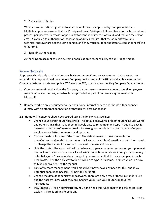#### 2. Separation of Duties

When an authorization is granted to an account it must be approved by multiple individuals. Multiple approvers ensures that the Principle of Least Privilege is followed from both a technical and process perspective, decreases opportunity for conflict of interest or fraud, and reduces the risk of error. As applied to authorization, separation of duties requires that the administrative and technical approver are not the same person, or if they must be, then the Data Custodian is not filling either role.

3. Roles in Authorization

Authorizing an account to use a system or application is responsibility of our IT department.

# <span id="page-5-0"></span>Secure Networks

Employees should only conduct Company business, access Company systems and data over secure networks. Employees should not connect Company devices to public WiFi or conduct business, access Company systems or data over public WiFi even on PCD, this includes checking Company Email Account.

- 1. Company network: at this time the Company does not own or manage a network as all employees work remotely and server/infrastructure is provided as part of our service agreement with Microsoft.
- 2. Remote workers are encouraged to use their home internet service and should either connect directly with an ethernet connection or through wireless connection.
- 2.1 Home WiFi networks should be secured using the following guidelines:
	- Change your default router password. The default passwords of most routers include words and other strings that make them relatively easy to remember and type in but also easy for password-cracking software to break. Use strong passwords with a random mix of upperand lowercase letters, numbers, and symbols.
	- Change the default name of the router. The default name of most routers is the manufacturer and model of the router. Hackers can use this information to help them break in. Change the name of the router to conceal its make and model.
	- Hide the router. Have you noticed that when you open your laptop or turn on your phone at Starbucks or the airport you see a list of Wi-Fi connections which are in range that you might potentially join? You can make a change to your router so that it does not appear in such broadcasts. Then the only way to find it will be to type in its name. For instructions on how to hide your router, see the manual.
	- Turn off remote management. You'll most likely never have any need for this, and it's a potential opening to hackers. It's best to shut it off.
	- Change the default administrator password. There are only a few of these in standard use and the hackers know what they are. Change yours. See your router's manual for instructions.
	- Stay logged OFF as an administrator. You don't need this functionality and the hackers can exploit it. Turn it off and keep it off.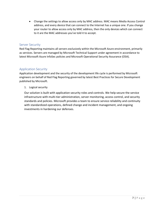• Change the settings to allow access only by MAC address. MAC means Media Access Control address, and every device that can connect to the Internet has a unique one. If you change your router to allow access only by MAC address, then the only devices which can connect to it are the MAC addresses you've told it to accept.

# <span id="page-6-0"></span>Server Security

Red Flag Reporting maintains all servers exclusively within the Microsoft Azure environment, primarily as services. Servers are managed by Microsoft Technical Support under agreement in accordance to latest Microsoft Azure InfoSec policies and Microsoft Operational Security Assurance (OSA).

# <span id="page-6-1"></span>Application Security

Application development and the security of the development life cycle is performed by Microsoft engineers on behalf of Red Flag Reporting governed by latest Best Practices for Secure Development published by Microsoft.

1. Logical security

Our solution is built with application security roles and controls. We help secure the service infrastructure with multi-tier administration, server monitoring, access control, and security standards and policies. Microsoft provides a team to ensure service reliability and continuity with standardized operations, defined change and incident management, and ongoing investments in hardening our defenses.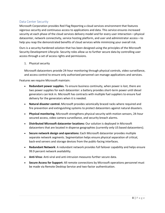# <span id="page-7-0"></span>Data Center Security

Microsoft Corporation provides Red Flag Reporting a cloud services environment that features vigorous security and continuous access to applications and data. This service ensures increased security at each phase of the cloud services delivery model and for every user interaction—physical datacenter, network connectivity, service hosting platform, and user and administrator access—to help you reap the demonstrated benefits of cloud services while minimizing your overall risk.

Ours is a security-hardened solution that has been designed using the principles of the Microsoft Security Development Lifecycle. Security roles allow us to further secure data by controlling user access through a set of access rights and permissions.

#### 1. Physical security

Microsoft datacenters provide 24-hour monitoring through physical controls, video surveillance, and access control to ensure only authorized personnel can manage applications and services.

Features we require Microsoft maintain:

- **Redundant power supplies.** To ensure business continuity, when power is lost, there are two power supplies for each datacenter: a battery provides short-term power until diesel generators can kick in. Microsoft has contracts with multiple fuel suppliers to ensure fuel delivery for the generators when it is needed.
- **Natural disaster control.** Microsoft provides seismically braced racks where required and fire prevention and extinguishing systems to protect datacenters against natural disasters.
- **Physical monitoring.** Microsoft strengthens physical security with motion sensors, 24-hour secured access, video camera surveillance, and security breach alarms.
- **Distributed Microsoft datacenter locations:** Our solution is deployed in Microsoft datacenters that are located in disperse geographies (currently only US based datacenters).
- **Secure network design and operations:** Each Microsoft datacenter provides multiple separate network segments. Segmentation helps ensure physical separation of critical, back-end servers and storage devices from the public-facing interfaces.
- **Redundant Network**: A redundant network provides full failover capability and helps ensure 99.9 percent network availability.
- **Anti-Virus**: Anti-viral and anti-intrusion measures further secure data.
- **Secure Access for Support:** All remote connections by Microsoft operations personnel must be made via Remote Desktop Service and two-factor authentication.